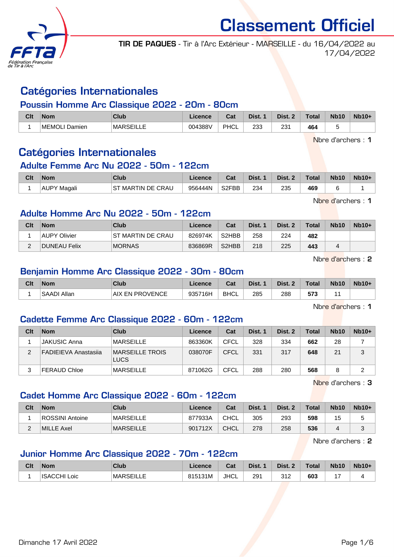

TIR DE PAQUES - Tir à l'Arc Extérieur - MARSEILLE - du 16/04/2022 au 17/04/2022

# Catégories Internationales

### Poussin Homme Arc Classique 2022 - 20m - 80cm

| Clt | <b>Nom</b>       | Club             | Licence | ่ ี่ ี่ ่า ่<br>⊍⊌ | Dist. | Dist.           | <b>Total</b> | <b>Nb10</b> | $Nb10+$ |
|-----|------------------|------------------|---------|--------------------|-------|-----------------|--------------|-------------|---------|
|     | MEMOLI<br>Damien | <b>MARSEILLE</b> | 004388V | PHCL               | 233   | 23 <sup>1</sup> | 464          |             |         |

Nbre d'archers : 1

# Catégories Internationales

### Adulte Femme Arc Nu 2022 - 50m - 122cm

| Clt | <b>Nom</b>         | Club                              | .icence | Cat                | Dist. | Dist. 2 | <b>Total</b> | <b>Nb10</b> | $Nb10+$ |
|-----|--------------------|-----------------------------------|---------|--------------------|-------|---------|--------------|-------------|---------|
|     | <b>AUPY Magali</b> | <sup>-</sup> MARTIN DE CRAU<br>ST | 956444N | S <sub>2</sub> FBB | 234   | 235     | 469          |             |         |

Nbre d'archers : 1

## Adulte Homme Arc Nu 2022 - 50m - 122cm

| Clt           | <b>Nom</b>          | Club                              | Licence | Cat                            | Dist. 1 | Dist. 2 | <b>Total</b> | <b>Nb10</b> | $Nb10+$ |
|---------------|---------------------|-----------------------------------|---------|--------------------------------|---------|---------|--------------|-------------|---------|
|               | <b>AUPY Olivier</b> | SТ<br><sup>-</sup> MARTIN DE CRAU | 826974K | S <sub>2</sub> HB <sub>B</sub> | 258     | 224     | 482          |             |         |
| $\Omega$<br>- | <b>DUNEAU Felix</b> | <b>MORNAS</b>                     | 836869R | S <sub>2</sub> HBB             | 218     | 225     | 443          |             |         |

Nbre d'archers : 2

## Benjamin Homme Arc Classique 2022 - 30m - 80cm

| Clt | <b>Nom</b>   | Club                        | Licence | Cat         | Dist. | Dist. | <b>Total</b> | <b>Nb10</b> | $Nb10+$ |
|-----|--------------|-----------------------------|---------|-------------|-------|-------|--------------|-------------|---------|
|     | ∫SAADI Allan | <b>EN PROVENCE</b><br>. AIX | 935716H | <b>BHCL</b> | 285   | 288   | 573          |             |         |

Nbre d'archers : 1

# Cadette Femme Arc Classique 2022 - 60m - 122cm

| Clt | <b>Nom</b>                  | Club                                  | Licence | Cat  | Dist. 1 | Dist. 2 | Total | <b>Nb10</b> | $Nb10+$ |
|-----|-----------------------------|---------------------------------------|---------|------|---------|---------|-------|-------------|---------|
|     | <b>JAKUSIC Anna</b>         | <b>MARSEILLE</b>                      | 863360K | CFCL | 328     | 334     | 662   | 28          |         |
| 2   | <b>FADIEIEVA Anastasija</b> | <b>MARSEILLE TROIS</b><br><b>LUCS</b> | 038070F | CFCL | 331     | 317     | 648   | 21          | 3       |
| 3   | <b>FERAUD Chloe</b>         | <b>MARSEILLE</b>                      | 871062G | CFCL | 288     | 280     | 568   | 8           | っ<br>▃  |

Nbre d'archers : 3

## Cadet Homme Arc Classique 2022 - 60m - 122cm

| Clt | <b>Nom</b>      | Club             | Licence | Cat         | Dist. | Dist. 2 | <b>Total</b> | <b>Nb10</b> | $Nb10+$ |
|-----|-----------------|------------------|---------|-------------|-------|---------|--------------|-------------|---------|
|     | ROSSINI Antoine | <b>MARSEILLE</b> | 877933A | CHCL        | 305   | 293     | 598          |             | s.      |
|     | MILLE Axel      | IMARSEILLE       | 901712X | <b>CHCL</b> | 278   | 258     | 536          |             | ۰J.     |

Nbre d'archers : 2

# Junior Homme Arc Classique 2022 - 70m - 122cm

| Clt | <b>Nom</b>             | Club             | ∟icence | <b>Cost</b><br>udl | Dist. | Dist.        | <b>Total</b> | <b>Nb10</b> | $Nb10+$ |
|-----|------------------------|------------------|---------|--------------------|-------|--------------|--------------|-------------|---------|
|     | <b>ISACCHI</b><br>Loic | <b>MARSEILLE</b> | 815131M | <b>JHCL</b>        | 291   | 212<br>ے ا ب | 603          |             |         |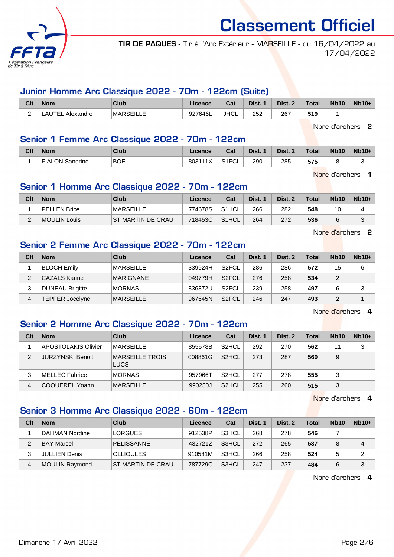

TIR DE PAQUES - Tir à l'Arc Extérieur - MARSEILLE - du 16/04/2022 au 17/04/2022

### Junior Homme Arc Classique 2022 - 70m - 122cm (Suite)

| Clt | <b>Nom</b>                     | Club         | Licence | <b>Cot</b><br>⊍aι | Dist.         | Dist.         | <b>Total</b> | <b>Nb10</b> | $Nb10+$ |
|-----|--------------------------------|--------------|---------|-------------------|---------------|---------------|--------------|-------------|---------|
| -   | <b>ITE</b><br>Alexandre<br>--- | MAR<br>----- | 927646L | <b>JHCL</b>       | 252<br>$\sim$ | 267<br>$\sim$ | 519          |             |         |

Nbre d'archers : 2

## Senior 1 Femme Arc Classique 2022 - 70m - 122cm

| Clt | <b>Nom</b>      | Club       | .icence | r.,<br>⊍d⊾ | Dist. | Dist. | <b>Total</b> | <b>Nb10</b> | $Nb10+$ |
|-----|-----------------|------------|---------|------------|-------|-------|--------------|-------------|---------|
|     | FIALON Sandrine | <b>BOE</b> | 803111X | S1FCL      | 290   | 285   | 575          |             |         |

Nbre d'archers : 1

## Senior 1 Homme Arc Classique 2022 - 70m - 122cm

| Clt | <b>Nom</b>   | Club               | Licence | Cat                | Dist. 1 | Dist. 2 | <b>Total</b> | <b>Nb10</b> | $Nb10+$ |
|-----|--------------|--------------------|---------|--------------------|---------|---------|--------------|-------------|---------|
|     | PELLEN Brice | <b>MARSEILLE</b>   | 774678S | S <sub>1</sub> HCL | 266     | 282     | 548          | 10          |         |
|     | MOULIN Louis | IST MARTIN DE CRAU | 718453C | S1HCL              | 264     | 272     | 536          | 6           | $\sim$  |

Nbre d'archers : 2

## Senior 2 Femme Arc Classique 2022 - 70m - 122cm

| Clt | <b>Nom</b>             | Club             | Licence | Cat                | Dist. 1 | Dist. 2 | Total | <b>Nb10</b> | $Nb10+$ |
|-----|------------------------|------------------|---------|--------------------|---------|---------|-------|-------------|---------|
|     | <b>BLOCH Emily</b>     | MARSEILLE        | 339924H | S <sub>2</sub> FCL | 286     | 286     | 572   | 15          | 6       |
|     | <b>CAZALS Karine</b>   | <b>MARIGNANE</b> | 049779H | S <sub>2</sub> FCL | 276     | 258     | 534   | 2           |         |
| 3   | <b>DUNEAU Brigitte</b> | <b>MORNAS</b>    | 836872U | S <sub>2</sub> FCL | 239     | 258     | 497   | 6           | 3       |
| 4   | <b>TEPFER Jocelyne</b> | <b>MARSEILLE</b> | 967645N | S <sub>2</sub> FCL | 246     | 247     | 493   | っ           |         |

Nbre d'archers : 4

# Senior 2 Homme Arc Classique 2022 - 70m - 122cm

| Clt | <b>Nom</b>                 | Club                           | Licence | Cat                | Dist. 1 | Dist. 2 | Total | <b>Nb10</b> | $Nb10+$ |
|-----|----------------------------|--------------------------------|---------|--------------------|---------|---------|-------|-------------|---------|
|     | <b>APOSTOLAKIS Olivier</b> | <b>MARSEILLE</b>               | 855578B | S <sub>2</sub> HCL | 292     | 270     | 562   | 11          | 3       |
| 2   | <b>JURZYNSKI Benoit</b>    | MARSEILLE TROIS<br><b>LUCS</b> | 008861G | S <sub>2</sub> HCL | 273     | 287     | 560   | 9           |         |
| 3   | MELLEC Fabrice             | <b>MORNAS</b>                  | 957966T | S <sub>2</sub> HCL | 277     | 278     | 555   | 3           |         |
| 4   | <b>COQUEREL Yoann</b>      | <b>MARSEILLE</b>               | 990250J | S <sub>2</sub> HCL | 255     | 260     | 515   | 3           |         |

Nbre d'archers : 4

## Senior 3 Homme Arc Classique 2022 - 60m - 122cm

| Clt | <b>Nom</b>           | Club              | Licence | Cat   | Dist. 1 | Dist. 2 | Total | <b>Nb10</b> | $Nb10+$ |
|-----|----------------------|-------------------|---------|-------|---------|---------|-------|-------------|---------|
|     | DAHMAN Nordine       | <b>LORGUES</b>    | 912538P | S3HCL | 268     | 278     | 546   |             |         |
| 2   | <b>BAY Marcel</b>    | <b>PELISSANNE</b> | 432721Z | S3HCL | 272     | 265     | 537   | 8           | 4       |
| 3   | <b>JULLIEN Denis</b> | <b>OLLIOULES</b>  | 910581M | S3HCL | 266     | 258     | 524   | 5           | 2       |
| 4   | MOULIN Raymond       | ST MARTIN DE CRAU | 787729C | S3HCL | 247     | 237     | 484   | 6           | 3       |

Nbre d'archers : 4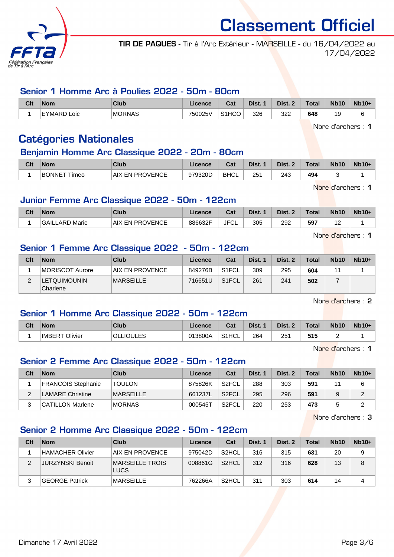

TIR DE PAQUES - Tir à l'Arc Extérieur - MARSEILLE - du 16/04/2022 au 17/04/2022

### Senior 1 Homme Arc à Poulies 2022 - 50m - 80cm

| Clt | <b>Nom</b>                    | Club          | Licence | Cat                | Dist. | Dist. 2 | <b>Total</b> | <b>Nb10</b>           | <b>Nb10+</b> |
|-----|-------------------------------|---------------|---------|--------------------|-------|---------|--------------|-----------------------|--------------|
|     | <b>EYMARD</b><br>Loic<br>۰ سا | <b>MORNAS</b> | 750025V | S <sub>1</sub> HCO | 326   | 322     | 648          | 1 <sup>C</sup><br>-si |              |

Nbre d'archers : 1

# Catégories Nationales

### Benjamin Homme Arc Classique 2022 - 20m - 80cm

| Clt | <b>Nom</b>                 | Club                      | <b>Licence</b> | Cat         | Dist. | Dist. | <b>Total</b> | <b>Nb10</b> | $Nb10+$ |
|-----|----------------------------|---------------------------|----------------|-------------|-------|-------|--------------|-------------|---------|
|     | <b>BONNET Til</b><br>Timeo | <b>PROVENCE</b><br>AIX EN | 979320D        | <b>BHCL</b> | 25'   | 243   | 494          |             |         |

Nbre d'archers : 1

## Junior Femme Arc Classique 2022 - 50m - 122cm

| Clt | <b>Nom</b>          | <b>Club</b>                  | <b>Licence</b> | Cat        | Dist. | Dist. | <b>Total</b> | <b>Nb10</b> | $Nb10+$ |
|-----|---------------------|------------------------------|----------------|------------|-------|-------|--------------|-------------|---------|
|     | GAILL<br>LARD Marie | <b>PROVENCE</b><br>AIX<br>EN | 886632F        | JFC'<br>◡∟ | 305   | 292   | 597          | .           |         |

Nbre d'archers : 1

## Senior 1 Femme Arc Classique 2022 - 50m - 122cm

| Clt | <b>Nom</b>                        | Club                   | Licence | Cat                | Dist. 1 | Dist. 2 | <b>Total</b> | <b>Nb10</b> | $Nb10+$ |
|-----|-----------------------------------|------------------------|---------|--------------------|---------|---------|--------------|-------------|---------|
|     | MORISCOT Aurore                   | <b>AIX EN PROVENCE</b> | 849276B | S1FCL              | 309     | 295     | 604          | 4.          |         |
|     | <b>'LETQUIMOUNIN'</b><br>Charlene | <b>MARSEILLE</b>       | 716651U | S <sub>1</sub> FCL | 261     | 241     | 502          |             |         |

Nbre d'archers : 2

## Senior 1 Homme Arc Classique 2022 - 50m - 122cm

| Clt | <b>Nom</b>              | Club             | Licence | <b>Cost</b><br>⊍aι | Dist. | Dist. 2 | <b>Total</b> | <b>Nb10</b> | $Nb10+$ |
|-----|-------------------------|------------------|---------|--------------------|-------|---------|--------------|-------------|---------|
|     | Olivier<br><b>IMBER</b> | <b>OLLIOULES</b> | 013800A | S <sub>1</sub> HCL | 264   | 251     | 515          |             |         |

Nbre d'archers : 1

## Senior 2 Femme Arc Classique 2022 - 50m - 122cm

| Clt | <b>Nom</b>                | Club             | Licence | Cat                | Dist. 1 | Dist. 2 | Total | <b>Nb10</b> | $Nb10+$ |
|-----|---------------------------|------------------|---------|--------------------|---------|---------|-------|-------------|---------|
|     | <b>FRANCOIS Stephanie</b> | <b>TOULON</b>    | 875826K | S <sub>2</sub> FCL | 288     | 303     | 591   | 44          |         |
| ົ   | LAMARE Christine          | <b>MARSEILLE</b> | 661237L | S <sub>2</sub> FCL | 295     | 296     | 591   |             | ົ       |
| ົ   | <b>CATILLON Marlene</b>   | <b>MORNAS</b>    | 000545T | S <sub>2</sub> FCL | 220     | 253     | 473   |             |         |

Nbre d'archers : 3

# Senior 2 Homme Arc Classique 2022 - 50m - 122cm

| Clt | <b>Nom</b>              | Club                    | Licence | Cat                | Dist. 1 | Dist. 2 | Total | <b>Nb10</b> | $Nb10+$ |
|-----|-------------------------|-------------------------|---------|--------------------|---------|---------|-------|-------------|---------|
|     | <b>HAMACHER Olivier</b> | AIX EN PROVENCE         | 975042D | S <sub>2</sub> HCL | 316     | 315     | 631   | 20          | 9       |
| ◠   | <b>JURZYNSKI Benoit</b> | MARSEILLE TROIS<br>LUCS | 008861G | S <sub>2</sub> HCL | 312     | 316     | 628   | 13          | 8       |
|     | <b>GEORGE Patrick</b>   | MARSEILLE               | 762266A | S <sub>2</sub> HCL | 311     | 303     | 614   | 14          | 4       |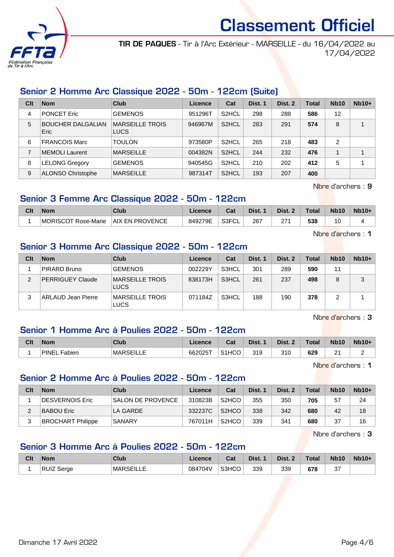

TIR DE PAQUES - Tir à l'Arc Extérieur - MARSEILLE - du 16/04/2022 au 17/04/2022

## Senior 2 Homme Arc Classique 2022 - 50m - 122cm (Suite)

| Clt | <b>Nom</b>                       | Club                           | Licence | Cat                | Dist. 1 | Dist. 2 | Total | <b>Nb10</b>    | $Nb10+$ |
|-----|----------------------------------|--------------------------------|---------|--------------------|---------|---------|-------|----------------|---------|
| 4   | <b>PONCET Eric</b>               | <b>GEMENOS</b>                 | 951296T | S <sub>2</sub> HCL | 298     | 288     | 586   | 12             |         |
| 5   | <b>BOUCHER DALGALIAN</b><br>Eric | <b>MARSEILLE TROIS</b><br>LUCS | 946967M | S <sub>2</sub> HCL | 283     | 291     | 574   | 8              | 4       |
| 6   | <b>FRANCOIS Marc</b>             | <b>TOULON</b>                  | 973580P | S <sub>2</sub> HCL | 265     | 218     | 483   | $\overline{c}$ |         |
| 7   | <b>MEMOLI</b> Laurent            | <b>MARSEILLE</b>               | 004382N | S <sub>2</sub> HCL | 244     | 232     | 476   |                | 1       |
| 8   | LELONG Gregory                   | <b>GEMENOS</b>                 | 940545G | S <sub>2</sub> HCL | 210     | 202     | 412   | 5              |         |
| 9   | <b>ALONSO Christophe</b>         | <b>MARSEILLE</b>               | 987314T | S <sub>2</sub> HCL | 193     | 207     | 400   |                |         |

Nbre d'archers : 9

## Senior 3 Femme Arc Classique 2022 - 50m - 122cm

| Clt | Nom                 | Club                   | <b>Licence</b> | <b>Table</b><br>ખ્વા | Dist. | Dist. | Total | <b>Nb10</b> | $Nb10+$ |
|-----|---------------------|------------------------|----------------|----------------------|-------|-------|-------|-------------|---------|
|     | MORISCOT Rose-Marie | <b>AIX EN PROVENCE</b> | 849279E        | S3FCL                | 267   | 27'   | 538   | 10<br>J     |         |

Nbre d'archers : 1

## Senior 3 Homme Arc Classique 2022 - 50m - 122cm

| Clt | <b>Nom</b>              | Club                           | Licence | Cat   | Dist. 1 | Dist. 2 | <b>Total</b> | <b>Nb10</b> | $Nb10+$ |
|-----|-------------------------|--------------------------------|---------|-------|---------|---------|--------------|-------------|---------|
|     | PIRARD Bruno            | <b>GEMENOS</b>                 | 002229Y | S3HCL | 301     | 289     | 590          | 11          |         |
| 2   | <b>PERRIGUEY Claude</b> | MARSEILLE TROIS<br><b>LUCS</b> | 838173H | S3HCL | 261     | 237     | 498          | 8           | 3       |
|     | ARLAUD Jean Pierre      | <b>MARSEILLE TROIS</b><br>LUCS | 071184Z | S3HCL | 188     | 190     | 378          |             |         |

Nbre d'archers : 3

## Senior 1 Homme Arc à Poulies 2022 - 50m - 122cm

| Clt | <b>Nom</b>                     | Club              | Licence | ่ ี่ ี่ ่า ่<br>⊍ન | Dist. | Dist. | <b>Total</b> | <b>Nb10</b>        | $Nb10+$ |
|-----|--------------------------------|-------------------|---------|--------------------|-------|-------|--------------|--------------------|---------|
|     | $\blacksquare$ PINEL<br>Fabien | <b>IMARSEILLE</b> | 662025T | S <sub>1</sub> HCO | 319   | 310   | 629          | $\sim$<br><u>_</u> | -       |

Nbre d'archers : 1

### Senior 2 Homme Arc à Poulies 2022 - 50m - 122cm

| Clt | <b>Nom</b>               | Club                     | Licence | Cat                | Dist. 1 | Dist. 2 | Total | <b>Nb10</b> | $Nb10+$ |
|-----|--------------------------|--------------------------|---------|--------------------|---------|---------|-------|-------------|---------|
|     | <b>IDESVERNOIS Eric</b>  | <b>SALON DE PROVENCE</b> | 310823B | S <sub>2</sub> HCO | 355     | 350     | 705   | 57          | 24      |
|     | <b>BABOU Eric</b>        | LA GARDE                 | 332237C | S <sub>2</sub> HCO | 338     | 342     | 680   | 42          | 18      |
|     | <b>BROCHART Philippe</b> | SANARY                   | 767011H | S <sub>2</sub> HCO | 339     | 341     | 680   | 37          | 16      |

Nbre d'archers : 3

## Senior 3 Homme Arc à Poulies 2022 - 50m - 122cm

| Clt | <b>Nom</b>        | Club             | Licence | <b>Column</b><br>⊍⊌ | Dist. | Dist. | <b>Total</b> | <b>Nb10</b>   | $Nb10+$ |
|-----|-------------------|------------------|---------|---------------------|-------|-------|--------------|---------------|---------|
|     | <b>RUIZ Serge</b> | <b>MARSEILLE</b> | 084704V | S3HCO               | 339   | 339   | 678          | $\sim$<br>ູບເ |         |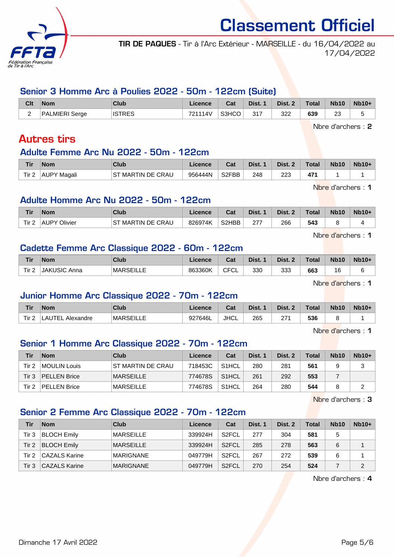

TIR DE PAQUES - Tir à l'Arc Extérieur - MARSEILLE - du 16/04/2022 au 17/04/2022

## Senior 3 Homme Arc à Poulies 2022 - 50m - 122cm (Suite)

| Clt | <b>Nom</b>     | Club          | Licence | Cat   | Dist. 1 | Dist. 2 | Total | <b>Nb10</b> | $Nb10+$ |
|-----|----------------|---------------|---------|-------|---------|---------|-------|-------------|---------|
| _   | PALMIERI Serge | <b>ISTRES</b> | 721114V | S3HCO | 317     | 322     | 639   | 23          |         |

Nbre d'archers : 2

# Autres tirs

#### Adulte Femme Arc Nu 2022 - 50m - 122cm

| Tir   | <b>Nom</b>         | Club                 | Licence | Cat                | Dist. | Dist. | Total | <b>Nb10</b> | $Nb10+$ |
|-------|--------------------|----------------------|---------|--------------------|-------|-------|-------|-------------|---------|
| Tir 2 | <b>AUPY Magali</b> | MARTIN DE CRAU<br>ST | 956444N | S <sub>2</sub> FBB | 248   | 223   | A74   |             |         |

Nbre d'archers : 1

## Adulte Homme Arc Nu 2022 - 50m - 122cm

| <b>Tir</b> | <b>Nom</b>       | Club                        |         | r.,<br><b>val</b>  | Dist. | Dist. | <b>Total</b> | <b>Nb10</b> | $Nb10+$ |
|------------|------------------|-----------------------------|---------|--------------------|-------|-------|--------------|-------------|---------|
| Tir 2      | Olivier<br>.AUPY | MARTIN DE CRAU<br>cт<br>י כ | 826974K | S <sub>2</sub> HBB | 277   | 266   | 543          |             |         |

Nbre d'archers : 1

## Cadette Femme Arc Classique 2022 - 60m - 122cm

| <b>Tir</b> | <b>Nom</b>          | Club             | .icence | Cat         | Dist. | Dist. 2 | <b>Total</b> | <b>Nb10</b>  | $Nb10+$ |
|------------|---------------------|------------------|---------|-------------|-------|---------|--------------|--------------|---------|
| Tir 2      | <b>JAKUSIC Anna</b> | <b>MARSEILLE</b> | 863360K | CFCI<br>ิ∪∟ | 330   | 333     | 663          | $\sim$<br>۰o |         |

Nbre d'archers : 1

## Junior Homme Arc Classique 2022 - 70m - 122cm

| Tir            | <b>Nom</b>                           | Club             | Licence | $R_{\rm{eff}}$<br>sal | Dist. | Dist.     | Total | <b>Nb10</b> | $Nb10+$ |
|----------------|--------------------------------------|------------------|---------|-----------------------|-------|-----------|-------|-------------|---------|
| Tir.<br>-<br>- | τ⊏<br>$\Lambda$<br>Alexandre<br>__ _ | <b>MARSEILLE</b> | 927646L | <b>JHCL</b>           | 265   | 57.<br>21 | 536   |             |         |

Nhre d'archers : 1

# Senior 1 Homme Arc Classique 2022 - 70m - 122cm

| Tir      | <b>Nom</b>          | Club               | Licence | Cat                | Dist. 1 | Dist. 2 | Total | <b>Nb10</b> | $Nb10+$ |
|----------|---------------------|--------------------|---------|--------------------|---------|---------|-------|-------------|---------|
| Tir 2    | MOULIN Louis        | IST MARTIN DE CRAU | 718453C | S <sub>1</sub> HCL | 280     | 281     | 561   |             | ບ       |
| $T$ ir 3 | <b>PELLEN Brice</b> | <b>MARSEILLE</b>   | 774678S | S <sub>1</sub> HCL | 261     | 292     | 553   |             |         |
| Tir 2    | <b>PELLEN Brice</b> | IMARSEILLE         | 774678S | S <sub>1</sub> HCL | 264     | 280     | 544   |             | ▃       |

Nbre d'archers : 3

# Senior 2 Femme Arc Classique 2022 - 70m - 122cm

| Tir   | <b>Nom</b>         | Club             | Licence | Cat                | Dist. 1 | Dist. 2 | Total | <b>Nb10</b> | $Nb10+$        |
|-------|--------------------|------------------|---------|--------------------|---------|---------|-------|-------------|----------------|
| Tir 3 | <b>BLOCH Emily</b> | MARSEILLE        | 339924H | S <sub>2</sub> FCL | 277     | 304     | 581   | 5           |                |
| Tir 2 | <b>BLOCH Emily</b> | <b>MARSEILLE</b> | 339924H | S <sub>2</sub> FCL | 285     | 278     | 563   | 6           |                |
| Tir 2 | CAZALS Karine      | <b>MARIGNANE</b> | 049779H | S <sub>2</sub> FCL | 267     | 272     | 539   | 6           |                |
| Tir 3 | CAZALS Karine      | <b>MARIGNANE</b> | 049779H | S <sub>2</sub> FCL | 270     | 254     | 524   |             | $\overline{2}$ |

Nbre d'archers : 4